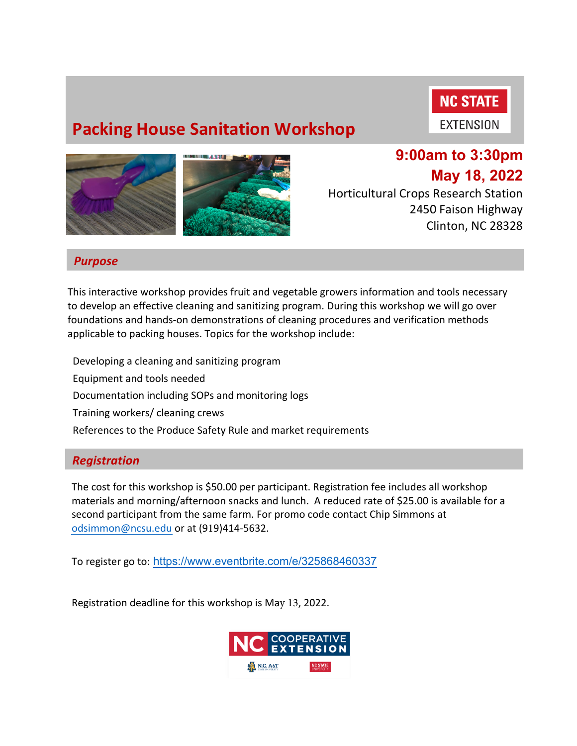# **Packing House Sanitation Workshop**



**EXTENSION** 



## **9:00am to 3:30pm May 18, 2022**

Horticultural Crops Research Station 2450 Faison Highway Clinton, NC 28328

#### *Purpose*

This interactive workshop provides fruit and vegetable growers information and tools necessary to develop an effective cleaning and sanitizing program. During this workshop we will go over foundations and hands-on demonstrations of cleaning procedures and verification methods applicable to packing houses. Topics for the workshop include:

 Developing a cleaning and sanitizing program Equipment and tools needed Documentation including SOPs and monitoring logs Training workers/ cleaning crews References to the Produce Safety Rule and market requirements

#### *Registration*

The cost for this workshop is \$50.00 per participant. Registration fee includes all workshop materials and morning/afternoon snacks and lunch. A reduced rate of \$25.00 is available for a second participant from the same farm. For promo code contact Chip Simmons at odsimmon@ncsu.edu or at (919)414-5632.

To register go to: https://www.eventbrite.com/e/325868460337

Registration deadline for this workshop is May 13, 2022.